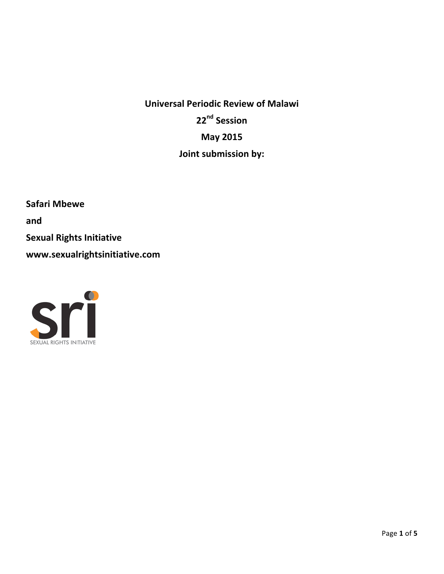**Universal Periodic Review of Malawi 22nd Session May 2015 Joint submission by:** 

**Safari Mbewe and Sexual Rights Initiative www.sexualrightsinitiative.com**

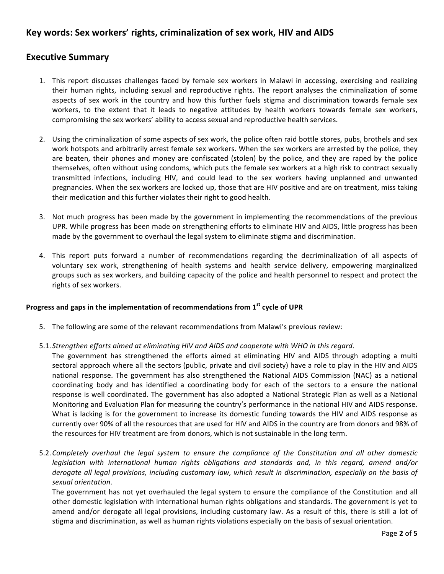# **Key words: Sex workers' rights, criminalization of sex work, HIV and AIDS**

### **Executive Summary**

- 1. This report discusses challenges faced by female sex workers in Malawi in accessing, exercising and realizing their human rights, including sexual and reproductive rights. The report analyses the criminalization of some aspects of sex work in the country and how this further fuels stigma and discrimination towards female sex workers, to the extent that it leads to negative attitudes by health workers towards female sex workers, compromising the sex workers' ability to access sexual and reproductive health services.
- 2. Using the criminalization of some aspects of sex work, the police often raid bottle stores, pubs, brothels and sex work hotspots and arbitrarily arrest female sex workers. When the sex workers are arrested by the police, they are beaten, their phones and money are confiscated (stolen) by the police, and they are raped by the police themselves, often without using condoms, which puts the female sex workers at a high risk to contract sexually transmitted infections, including HIV, and could lead to the sex workers having unplanned and unwanted pregnancies. When the sex workers are locked up, those that are HIV positive and are on treatment, miss taking their medication and this further violates their right to good health.
- 3. Not much progress has been made by the government in implementing the recommendations of the previous UPR. While progress has been made on strengthening efforts to eliminate HIV and AIDS, little progress has been made by the government to overhaul the legal system to eliminate stigma and discrimination.
- 4. This report puts forward a number of recommendations regarding the decriminalization of all aspects of voluntary sex work, strengthening of health systems and health service delivery, empowering marginalized groups such as sex workers, and building capacity of the police and health personnel to respect and protect the rights of sex workers.

#### **Progress and gaps in the implementation of recommendations from 1<sup>st</sup> cycle of UPR**

- 5. The following are some of the relevant recommendations from Malawi's previous review:
- 5.1. Strengthen efforts aimed at eliminating HIV and AIDS and cooperate with WHO in this regard.
	- The government has strengthened the efforts aimed at eliminating HIV and AIDS through adopting a multi sectoral approach where all the sectors (public, private and civil society) have a role to play in the HIV and AIDS national response. The government has also strengthened the National AIDS Commission (NAC) as a national coordinating body and has identified a coordinating body for each of the sectors to a ensure the national response is well coordinated. The government has also adopted a National Strategic Plan as well as a National Monitoring and Evaluation Plan for measuring the country's performance in the national HIV and AIDS response. What is lacking is for the government to increase its domestic funding towards the HIV and AIDS response as currently over 90% of all the resources that are used for HIV and AIDS in the country are from donors and 98% of the resources for HIV treatment are from donors, which is not sustainable in the long term.
- 5.2. Completely overhaul the legal system to ensure the compliance of the Constitution and all other domestic *legislation* with international human rights obligations and standards and, in this regard, amend and/or *derogate all legal provisions, including customary law, which result in discrimination, especially on the basis of sexual orientation*.

The government has not yet overhauled the legal system to ensure the compliance of the Constitution and all other domestic legislation with international human rights obligations and standards. The government is yet to amend and/or derogate all legal provisions, including customary law. As a result of this, there is still a lot of stigma and discrimination, as well as human rights violations especially on the basis of sexual orientation.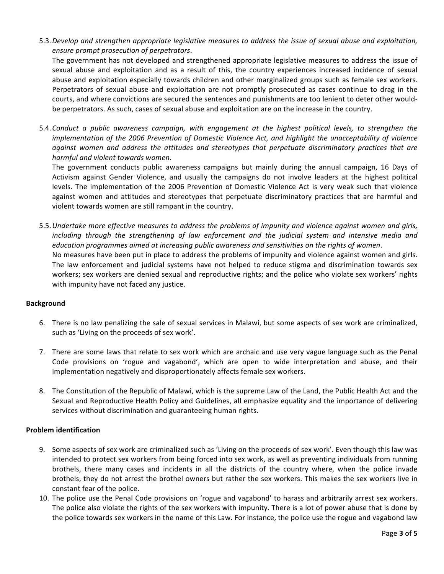5.3. Develop and strengthen appropriate legislative measures to address the issue of sexual abuse and exploitation, *ensure prompt prosecution of perpetrators*.

The government has not developed and strengthened appropriate legislative measures to address the issue of sexual abuse and exploitation and as a result of this, the country experiences increased incidence of sexual abuse and exploitation especially towards children and other marginalized groups such as female sex workers. Perpetrators of sexual abuse and exploitation are not promptly prosecuted as cases continue to drag in the courts, and where convictions are secured the sentences and punishments are too lenient to deter other wouldbe perpetrators. As such, cases of sexual abuse and exploitation are on the increase in the country.

5.4. Conduct a public awareness campaign, with engagement at the highest political levels, to strengthen the *implementation of the 2006 Prevention of Domestic Violence Act, and highlight the unacceptability of violence against women and address the attitudes and stereotypes that perpetuate discriminatory practices that are harmful and violent towards women*.

The government conducts public awareness campaigns but mainly during the annual campaign, 16 Days of Activism against Gender Violence, and usually the campaigns do not involve leaders at the highest political levels. The implementation of the 2006 Prevention of Domestic Violence Act is very weak such that violence against women and attitudes and stereotypes that perpetuate discriminatory practices that are harmful and violent towards women are still rampant in the country.

5.5. Undertake more effective measures to address the problems of impunity and violence against women and girls, *including* through the strengthening of law enforcement and the judicial system and intensive media and education programmes aimed at increasing public awareness and sensitivities on the rights of women. No measures have been put in place to address the problems of impunity and violence against women and girls. The law enforcement and judicial systems have not helped to reduce stigma and discrimination towards sex workers; sex workers are denied sexual and reproductive rights; and the police who violate sex workers' rights with impunity have not faced any justice.

#### **Background**

- 6. There is no law penalizing the sale of sexual services in Malawi, but some aspects of sex work are criminalized, such as 'Living on the proceeds of sex work'.
- 7. There are some laws that relate to sex work which are archaic and use very vague language such as the Penal Code provisions on 'rogue and vagabond', which are open to wide interpretation and abuse, and their implementation negatively and disproportionately affects female sex workers.
- 8. The Constitution of the Republic of Malawi, which is the supreme Law of the Land, the Public Health Act and the Sexual and Reproductive Health Policy and Guidelines, all emphasize equality and the importance of delivering services without discrimination and guaranteeing human rights.

#### **Problem identification**

- 9. Some aspects of sex work are criminalized such as 'Living on the proceeds of sex work'. Even though this law was intended to protect sex workers from being forced into sex work, as well as preventing individuals from running brothels, there many cases and incidents in all the districts of the country where, when the police invade brothels, they do not arrest the brothel owners but rather the sex workers. This makes the sex workers live in constant fear of the police.
- 10. The police use the Penal Code provisions on 'rogue and vagabond' to harass and arbitrarily arrest sex workers. The police also violate the rights of the sex workers with impunity. There is a lot of power abuse that is done by the police towards sex workers in the name of this Law. For instance, the police use the rogue and vagabond law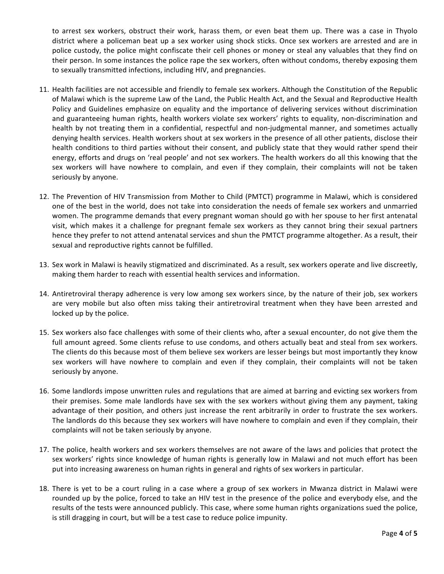to arrest sex workers, obstruct their work, harass them, or even beat them up. There was a case in Thyolo district where a policeman beat up a sex worker using shock sticks. Once sex workers are arrested and are in police custody, the police might confiscate their cell phones or money or steal any valuables that they find on their person. In some instances the police rape the sex workers, often without condoms, thereby exposing them to sexually transmitted infections, including HIV, and pregnancies.

- 11. Health facilities are not accessible and friendly to female sex workers. Although the Constitution of the Republic of Malawi which is the supreme Law of the Land, the Public Health Act, and the Sexual and Reproductive Health Policy and Guidelines emphasize on equality and the importance of delivering services without discrimination and guaranteeing human rights, health workers violate sex workers' rights to equality, non-discrimination and health by not treating them in a confidential, respectful and non-judgmental manner, and sometimes actually denying health services. Health workers shout at sex workers in the presence of all other patients, disclose their health conditions to third parties without their consent, and publicly state that they would rather spend their energy, efforts and drugs on 'real people' and not sex workers. The health workers do all this knowing that the sex workers will have nowhere to complain, and even if they complain, their complaints will not be taken seriously by anyone.
- 12. The Prevention of HIV Transmission from Mother to Child (PMTCT) programme in Malawi, which is considered one of the best in the world, does not take into consideration the needs of female sex workers and unmarried women. The programme demands that every pregnant woman should go with her spouse to her first antenatal visit, which makes it a challenge for pregnant female sex workers as they cannot bring their sexual partners hence they prefer to not attend antenatal services and shun the PMTCT programme altogether. As a result, their sexual and reproductive rights cannot be fulfilled.
- 13. Sex work in Malawi is heavily stigmatized and discriminated. As a result, sex workers operate and live discreetly, making them harder to reach with essential health services and information.
- 14. Antiretroviral therapy adherence is very low among sex workers since, by the nature of their job, sex workers are very mobile but also often miss taking their antiretroviral treatment when they have been arrested and locked up by the police.
- 15. Sex workers also face challenges with some of their clients who, after a sexual encounter, do not give them the full amount agreed. Some clients refuse to use condoms, and others actually beat and steal from sex workers. The clients do this because most of them believe sex workers are lesser beings but most importantly they know sex workers will have nowhere to complain and even if they complain, their complaints will not be taken seriously by anyone.
- 16. Some landlords impose unwritten rules and regulations that are aimed at barring and evicting sex workers from their premises. Some male landlords have sex with the sex workers without giving them any payment, taking advantage of their position, and others just increase the rent arbitrarily in order to frustrate the sex workers. The landlords do this because they sex workers will have nowhere to complain and even if they complain, their complaints will not be taken seriously by anyone.
- 17. The police, health workers and sex workers themselves are not aware of the laws and policies that protect the sex workers' rights since knowledge of human rights is generally low in Malawi and not much effort has been put into increasing awareness on human rights in general and rights of sex workers in particular.
- 18. There is yet to be a court ruling in a case where a group of sex workers in Mwanza district in Malawi were rounded up by the police, forced to take an HIV test in the presence of the police and everybody else, and the results of the tests were announced publicly. This case, where some human rights organizations sued the police, is still dragging in court, but will be a test case to reduce police impunity.